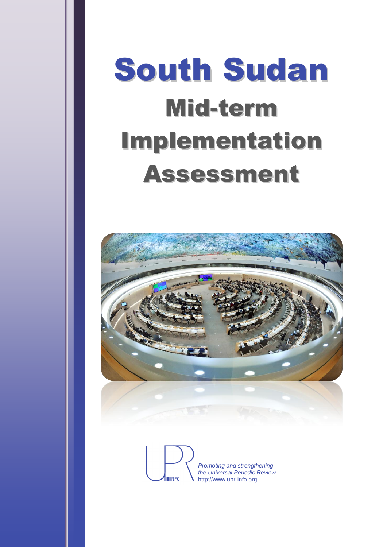# South Sudan Mid-term Implementation Assessment



*Promoting and strengthening the Universal Periodic Review* http://www.upr-info.org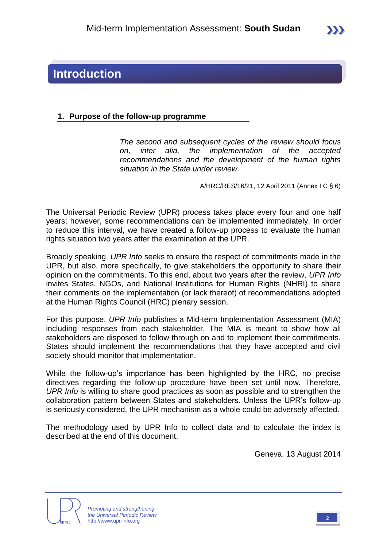

## **Introduction**

### **1. Purpose of the follow-up programme**

*The second and subsequent cycles of the review should focus on, inter alia, the implementation of the accepted recommendations and the development of the human rights situation in the State under review.*

A/HRC/RES/16/21, 12 April 2011 (Annex I C § 6)

The Universal Periodic Review (UPR) process takes place every four and one half years; however, some recommendations can be implemented immediately. In order to reduce this interval, we have created a follow-up process to evaluate the human rights situation two years after the examination at the UPR.

Broadly speaking, *UPR Info* seeks to ensure the respect of commitments made in the UPR, but also, more specifically, to give stakeholders the opportunity to share their opinion on the commitments. To this end, about two years after the review, *UPR Info* invites States, NGOs, and National Institutions for Human Rights (NHRI) to share their comments on the implementation (or lack thereof) of recommendations adopted at the Human Rights Council (HRC) plenary session.

For this purpose, *UPR Info* publishes a Mid-term Implementation Assessment (MIA) including responses from each stakeholder. The MIA is meant to show how all stakeholders are disposed to follow through on and to implement their commitments. States should implement the recommendations that they have accepted and civil society should monitor that implementation.

While the follow-up's importance has been highlighted by the HRC, no precise directives regarding the follow-up procedure have been set until now. Therefore, *UPR Info* is willing to share good practices as soon as possible and to strengthen the collaboration pattern between States and stakeholders. Unless the UPR's follow-up is seriously considered, the UPR mechanism as a whole could be adversely affected.

The methodology used by UPR Info to collect data and to calculate the index is described at the end of this document.

Geneva, 13 August 2014



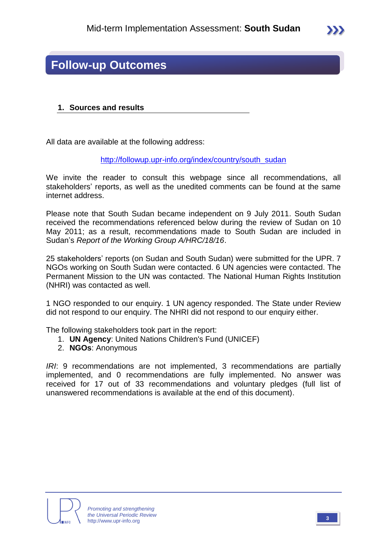

## **Follow-up Outcomes**

#### **1. Sources and results**

All data are available at the following address:

[http://followup.upr-info.org/index/country/south\\_sudan](http://followup.upr-info.org/index/country/south_sudan)

We invite the reader to consult this webpage since all recommendations, all stakeholders' reports, as well as the unedited comments can be found at the same internet address.

Please note that South Sudan became independent on 9 July 2011. South Sudan received the recommendations referenced below during the review of Sudan on 10 May 2011; as a result, recommendations made to South Sudan are included in Sudan's *Report of the Working Group A/HRC/18/16*.

25 stakeholders' reports (on Sudan and South Sudan) were submitted for the UPR. 7 NGOs working on South Sudan were contacted. 6 UN agencies were contacted. The Permanent Mission to the UN was contacted. The National Human Rights Institution (NHRI) was contacted as well.

1 NGO responded to our enquiry. 1 UN agency responded. The State under Review did not respond to our enquiry. The NHRI did not respond to our enquiry either.

The following stakeholders took part in the report:

- 1. **UN Agency**: United Nations Children's Fund (UNICEF)
- 2. **NGOs**: Anonymous

*IRI*: 9 recommendations are not implemented, 3 recommendations are partially implemented, and 0 recommendations are fully implemented. No answer was received for 17 out of 33 recommendations and voluntary pledges (full list of unanswered recommendations is available at the end of this document).



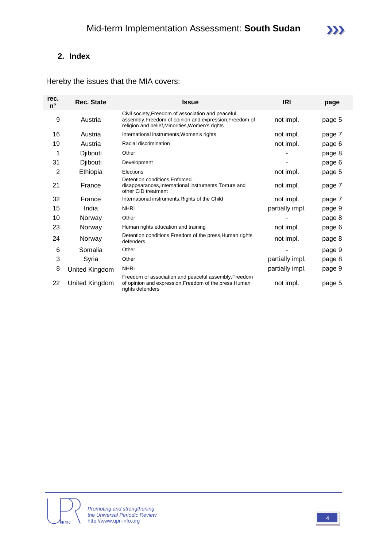## **2. Index**

Hereby the issues that the MIA covers:

| rec.<br>$n^{\circ}$ | <b>Rec. State</b> | <b>Issue</b>                                                                                                                                                     | <b>IRI</b>      | page   |
|---------------------|-------------------|------------------------------------------------------------------------------------------------------------------------------------------------------------------|-----------------|--------|
| 9                   | Austria           | Civil society, Freedom of association and peaceful<br>assembly, Freedom of opinion and expression, Freedom of<br>religion and belief, Minorities, Women's rights | not impl.       | page 5 |
| 16                  | Austria           | International instruments, Women's rights                                                                                                                        | not impl.       | page 7 |
| 19                  | Austria           | Racial discrimination                                                                                                                                            | not impl.       | page 6 |
| 1                   | Djibouti          | Other                                                                                                                                                            |                 | page 8 |
| 31                  | Djibouti          | Development                                                                                                                                                      |                 | page 6 |
| 2                   | Ethiopia          | Elections                                                                                                                                                        | not impl.       | page 5 |
| 21                  | France            | Detention conditions, Enforced<br>disappearances, International instruments, Torture and<br>other CID treatment                                                  | not impl.       | page 7 |
| 32                  | France            | International instruments, Rights of the Child                                                                                                                   | not impl.       | page 7 |
| 15                  | India             | <b>NHRI</b>                                                                                                                                                      | partially impl. | page 9 |
| 10                  | Norway            | Other                                                                                                                                                            |                 | page 8 |
| 23                  | Norway            | Human rights education and training                                                                                                                              | not impl.       | page 6 |
| 24                  | Norway            | Detention conditions, Freedom of the press, Human rights<br>defenders                                                                                            | not impl.       | page 8 |
| 6                   | Somalia           | Other                                                                                                                                                            |                 | page 9 |
| 3                   | Syria             | Other                                                                                                                                                            | partially impl. | page 8 |
| 8                   | United Kingdom    | <b>NHRI</b>                                                                                                                                                      | partially impl. | page 9 |
| 22                  | United Kingdom    | Freedom of association and peaceful assembly, Freedom<br>of opinion and expression, Freedom of the press, Human<br>rights defenders                              | not impl.       | page 5 |





 $\sum$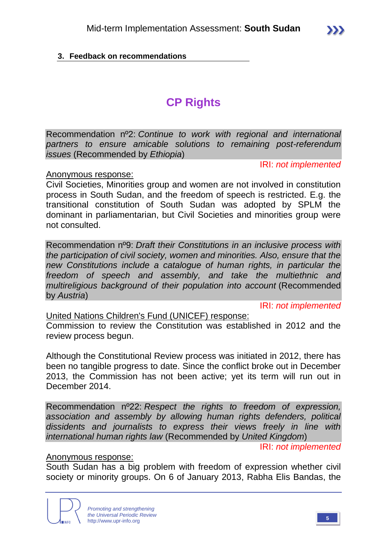## **3. Feedback on recommendations**

# **CP Rights**

Recommendation nº2: *Continue to work with regional and international partners to ensure amicable solutions to remaining post-referendum issues* (Recommended by *Ethiopia*)

IRI: *not implemented*

Anonymous response:

Civil Societies, Minorities group and women are not involved in constitution process in South Sudan, and the freedom of speech is restricted. E.g. the transitional constitution of South Sudan was adopted by SPLM the dominant in parliamentarian, but Civil Societies and minorities group were not consulted.

Recommendation nº9: *Draft their Constitutions in an inclusive process with the participation of civil society, women and minorities. Also, ensure that the new Constitutions include a catalogue of human rights, in particular the freedom of speech and assembly, and take the multiethnic and multireligious background of their population into account* (Recommended by *Austria*)

IRI: *not implemented*

United Nations Children's Fund (UNICEF) response:

Commission to review the Constitution was established in 2012 and the review process begun.

Although the Constitutional Review process was initiated in 2012, there has been no tangible progress to date. Since the conflict broke out in December 2013, the Commission has not been active; yet its term will run out in December 2014.

Recommendation nº22: *Respect the rights to freedom of expression, association and assembly by allowing human rights defenders, political dissidents and journalists to express their views freely in line with international human rights law* (Recommended by *United Kingdom*)

IRI: *not implemented*

#### Anonymous response:

South Sudan has a big problem with freedom of expression whether civil society or minority groups. On 6 of January 2013, Rabha Elis Bandas, the

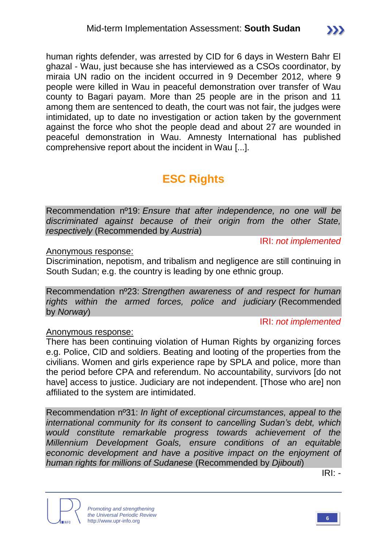human rights defender, was arrested by CID for 6 days in Western Bahr El ghazal - Wau, just because she has interviewed as a CSOs coordinator, by miraia UN radio on the incident occurred in 9 December 2012, where 9 people were killed in Wau in peaceful demonstration over transfer of Wau county to Bagari payam. More than 25 people are in the prison and 11 among them are sentenced to death, the court was not fair, the judges were intimidated, up to date no investigation or action taken by the government against the force who shot the people dead and about 27 are wounded in peaceful demonstration in Wau. Amnesty International has published comprehensive report about the incident in Wau [...].

# **ESC Rights**

Recommendation nº19: *Ensure that after independence, no one will be discriminated against because of their origin from the other State, respectively* (Recommended by *Austria*)

IRI: *not implemented*

#### Anonymous response:

Discrimination, nepotism, and tribalism and negligence are still continuing in South Sudan; e.g. the country is leading by one ethnic group.

Recommendation nº23: *Strengthen awareness of and respect for human rights within the armed forces, police and judiciary* (Recommended by *Norway*)

#### IRI: *not implemented*

## Anonymous response:

There has been continuing violation of Human Rights by organizing forces e.g. Police, CID and soldiers. Beating and looting of the properties from the civilians. Women and girls experience rape by SPLA and police, more than the period before CPA and referendum. No accountability, survivors [do not have] access to justice. Judiciary are not independent. [Those who are] non affiliated to the system are intimidated.

Recommendation nº31: *In light of exceptional circumstances, appeal to the international community for its consent to cancelling Sudan's debt, which would constitute remarkable progress towards achievement of the Millennium Development Goals, ensure conditions of an equitable economic development and have a positive impact on the enjoyment of human rights for millions of Sudanese* (Recommended by *Djibouti*)

IRI: *-*



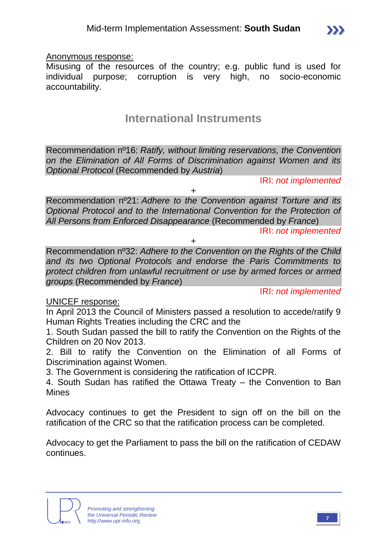

Misusing of the resources of the country; e.g. public fund is used for individual purpose; corruption is very high, no socio-economic accountability.

## **International Instruments**

Recommendation nº16: *Ratify, without limiting reservations, the Convention on the Elimination of All Forms of Discrimination against Women and its Optional Protocol* (Recommended by *Austria*)

IRI: *not implemented*

 $\sum$ 

+

Recommendation nº21: *Adhere to the Convention against Torture and its Optional Protocol and to the International Convention for the Protection of All Persons from Enforced Disappearance* (Recommended by *France*) IRI: *not implemented*

+

Recommendation nº32: *Adhere to the Convention on the Rights of the Child and its two Optional Protocols and endorse the Paris Commitments to protect children from unlawful recruitment or use by armed forces or armed groups* (Recommended by *France*)

IRI: *not implemented*

## UNICEF response:

In April 2013 the Council of Ministers passed a resolution to accede/ratify 9 Human Rights Treaties including the CRC and the

1. South Sudan passed the bill to ratify the Convention on the Rights of the Children on 20 Nov 2013.

2. Bill to ratify the Convention on the Elimination of all Forms of Discrimination against Women.

3. The Government is considering the ratification of ICCPR.

4. South Sudan has ratified the Ottawa Treaty – the Convention to Ban Mines

Advocacy continues to get the President to sign off on the bill on the ratification of the CRC so that the ratification process can be completed.

Advocacy to get the Parliament to pass the bill on the ratification of CEDAW continues.

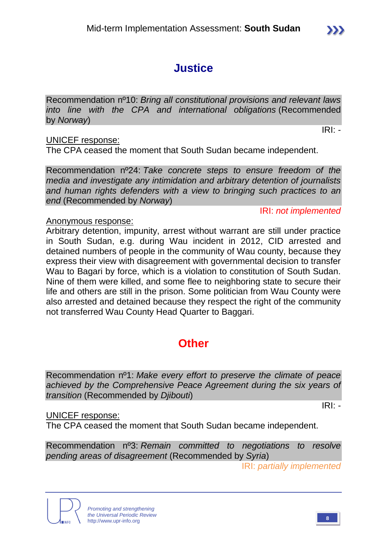# **Justice**

Recommendation nº10: *Bring all constitutional provisions and relevant laws into line with the CPA and international obligations* (Recommended by *Norway*)

IRI: *-*

## UNICEF response:

The CPA ceased the moment that South Sudan became independent.

Recommendation nº24: *Take concrete steps to ensure freedom of the media and investigate any intimidation and arbitrary detention of journalists and human rights defenders with a view to bringing such practices to an end* (Recommended by *Norway*)

IRI: *not implemented*

## Anonymous response:

Arbitrary detention, impunity, arrest without warrant are still under practice in South Sudan, e.g. during Wau incident in 2012, CID arrested and detained numbers of people in the community of Wau county, because they express their view with disagreement with governmental decision to transfer Wau to Bagari by force, which is a violation to constitution of South Sudan. Nine of them were killed, and some flee to neighboring state to secure their life and others are still in the prison. Some politician from Wau County were also arrested and detained because they respect the right of the community not transferred Wau County Head Quarter to Baggari.

## **Other**

Recommendation nº1: *Make every effort to preserve the climate of peace achieved by the Comprehensive Peace Agreement during the six years of transition* (Recommended by *Djibouti*)

IRI: *-*

## UNICEF response:

The CPA ceased the moment that South Sudan became independent.

Recommendation nº3: *Remain committed to negotiations to resolve pending areas of disagreement* (Recommended by *Syria*)

IRI: *partially implemented*



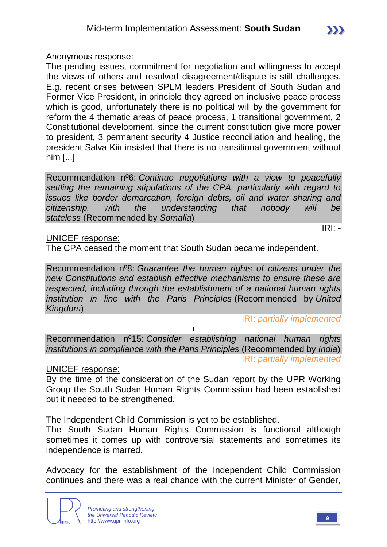IRI: *-*

Anonymous response:

The pending issues, commitment for negotiation and willingness to accept the views of others and resolved disagreement/dispute is still challenges. E.g. recent crises between SPLM leaders President of South Sudan and Former Vice President, in principle they agreed on inclusive peace process which is good, unfortunately there is no political will by the government for reform the 4 thematic areas of peace process, 1 transitional government, 2 Constitutional development, since the current constitution give more power to president, 3 permanent security 4 Justice reconciliation and healing, the president Salva Kiir insisted that there is no transitional government without him [...]

Recommendation nº6: *Continue negotiations with a view to peacefully settling the remaining stipulations of the CPA, particularly with regard to issues like border demarcation, foreign debts, oil and water sharing and citizenship, with the understanding that nobody will be stateless* (Recommended by *Somalia*)

UNICEF response:

The CPA ceased the moment that South Sudan became independent.

Recommendation nº8: *Guarantee the human rights of citizens under the new Constitutions and establish effective mechanisms to ensure these are respected, including through the establishment of a national human rights institution in line with the Paris Principles* (Recommended by *United Kingdom*)

IRI: *partially implemented*

+

Recommendation nº15: *Consider establishing national human rights institutions in compliance with the Paris Principles* (Recommended by *India*) IRI: *partially implemented*

UNICEF response:

By the time of the consideration of the Sudan report by the UPR Working Group the South Sudan Human Rights Commission had been established but it needed to be strengthened.

The Independent Child Commission is yet to be established.

The South Sudan Human Rights Commission is functional although sometimes it comes up with controversial statements and sometimes its independence is marred.

Advocacy for the establishment of the Independent Child Commission continues and there was a real chance with the current Minister of Gender,

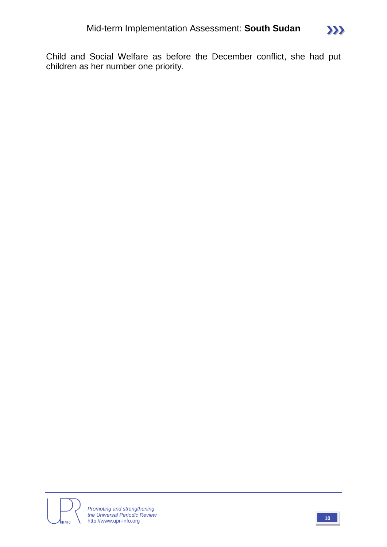

Child and Social Welfare as before the December conflict, she had put children as her number one priority.

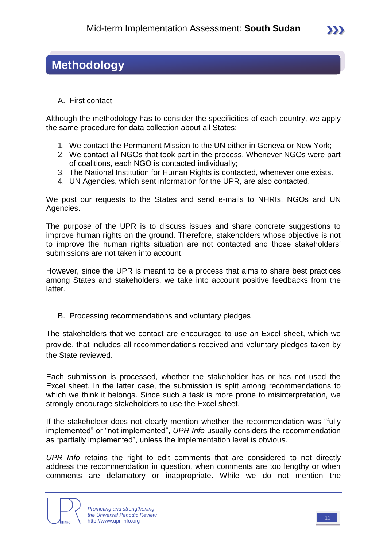## **Methodology**

A. First contact

Although the methodology has to consider the specificities of each country, we apply the same procedure for data collection about all States:

- 1. We contact the Permanent Mission to the UN either in Geneva or New York;
- 2. We contact all NGOs that took part in the process. Whenever NGOs were part of coalitions, each NGO is contacted individually;
- 3. The National Institution for Human Rights is contacted, whenever one exists.
- 4. UN Agencies, which sent information for the UPR, are also contacted.

We post our requests to the States and send e-mails to NHRIs, NGOs and UN Agencies.

The purpose of the UPR is to discuss issues and share concrete suggestions to improve human rights on the ground. Therefore, stakeholders whose objective is not to improve the human rights situation are not contacted and those stakeholders' submissions are not taken into account.

However, since the UPR is meant to be a process that aims to share best practices among States and stakeholders, we take into account positive feedbacks from the latter.

B. Processing recommendations and voluntary pledges

The stakeholders that we contact are encouraged to use an Excel sheet, which we provide, that includes all recommendations received and voluntary pledges taken by the State reviewed.

Each submission is processed, whether the stakeholder has or has not used the Excel sheet. In the latter case, the submission is split among recommendations to which we think it belongs. Since such a task is more prone to misinterpretation, we strongly encourage stakeholders to use the Excel sheet.

If the stakeholder does not clearly mention whether the recommendation was "fully implemented" or "not implemented", *UPR Info* usually considers the recommendation as "partially implemented", unless the implementation level is obvious.

*UPR Info* retains the right to edit comments that are considered to not directly address the recommendation in question, when comments are too lengthy or when comments are defamatory or inappropriate. While we do not mention the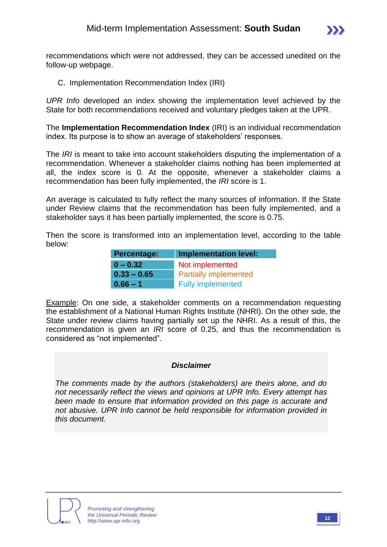

recommendations which were not addressed, they can be accessed unedited on the follow-up webpage.

C. Implementation Recommendation Index (IRI)

*UPR Info* developed an index showing the implementation level achieved by the State for both recommendations received and voluntary pledges taken at the UPR.

The **Implementation Recommendation Index** (IRI) is an individual recommendation index. Its purpose is to show an average of stakeholders' responses.

The *IRI* is meant to take into account stakeholders disputing the implementation of a recommendation. Whenever a stakeholder claims nothing has been implemented at all, the index score is 0. At the opposite, whenever a stakeholder claims a recommendation has been fully implemented, the *IRI* score is 1.

An average is calculated to fully reflect the many sources of information. If the State under Review claims that the recommendation has been fully implemented, and a stakeholder says it has been partially implemented, the score is 0.75.

Then the score is transformed into an implementation level, according to the table below:

| <b>Percentage:</b> | <b>Implementation level:</b> |  |  |
|--------------------|------------------------------|--|--|
| $0 - 0.32$         | Not implemented              |  |  |
| $0.33 - 0.65$      | <b>Partially implemented</b> |  |  |
| $0.66 - 1$         | <b>Fully implemented</b>     |  |  |

Example: On one side, a stakeholder comments on a recommendation requesting the establishment of a National Human Rights Institute (NHRI). On the other side, the State under review claims having partially set up the NHRI. As a result of this, the recommendation is given an *IRI* score of 0.25, and thus the recommendation is considered as "not implemented".

#### *Disclaimer*

*The comments made by the authors (stakeholders) are theirs alone, and do not necessarily reflect the views and opinions at UPR Info. Every attempt has been made to ensure that information provided on this page is accurate and not abusive. UPR Info cannot be held responsible for information provided in this document.*

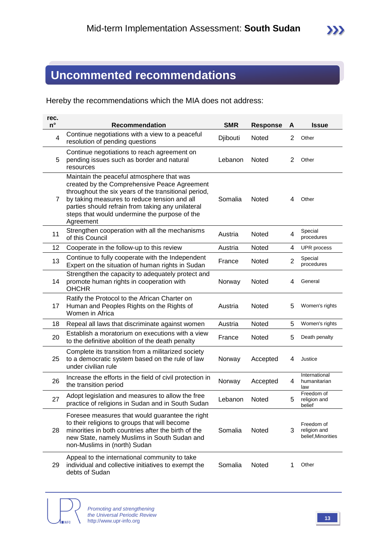# **Uncommented recommendations**

Hereby the recommendations which the MIA does not address:

| rec.<br>$n^{\circ}$ | <b>Recommendation</b>                                                                                                                                                                                                                                                                                                | <b>SMR</b> | <b>Response</b> | A              | <b>Issue</b>                                     |
|---------------------|----------------------------------------------------------------------------------------------------------------------------------------------------------------------------------------------------------------------------------------------------------------------------------------------------------------------|------------|-----------------|----------------|--------------------------------------------------|
| 4                   | Continue negotiations with a view to a peaceful<br>resolution of pending questions                                                                                                                                                                                                                                   | Djibouti   | Noted           | $\overline{c}$ | Other                                            |
| 5                   | Continue negotiations to reach agreement on<br>pending issues such as border and natural<br>resources                                                                                                                                                                                                                | Lebanon    | Noted           | 2              | Other                                            |
| 7                   | Maintain the peaceful atmosphere that was<br>created by the Comprehensive Peace Agreement<br>throughout the six years of the transitional period,<br>by taking measures to reduce tension and all<br>parties should refrain from taking any unilateral<br>steps that would undermine the purpose of the<br>Agreement | Somalia    | <b>Noted</b>    | 4              | Other                                            |
| 11                  | Strengthen cooperation with all the mechanisms<br>of this Council                                                                                                                                                                                                                                                    | Austria    | Noted           | 4              | Special<br>procedures                            |
| 12                  | Cooperate in the follow-up to this review                                                                                                                                                                                                                                                                            | Austria    | Noted           | 4              | UPR process                                      |
| 13                  | Continue to fully cooperate with the Independent<br>Expert on the situation of human rights in Sudan                                                                                                                                                                                                                 | France     | Noted           | $\overline{2}$ | Special<br>procedures                            |
| 14                  | Strengthen the capacity to adequately protect and<br>promote human rights in cooperation with<br><b>OHCHR</b>                                                                                                                                                                                                        | Norway     | Noted           | 4              | General                                          |
| 17                  | Ratify the Protocol to the African Charter on<br>Human and Peoples Rights on the Rights of<br>Women in Africa                                                                                                                                                                                                        | Austria    | Noted           | 5              | Women's rights                                   |
| 18                  | Repeal all laws that discriminate against women                                                                                                                                                                                                                                                                      | Austria    | Noted           | 5              | Women's rights                                   |
| 20                  | Establish a moratorium on executions with a view<br>to the definitive abolition of the death penalty                                                                                                                                                                                                                 | France     | Noted           | 5              | Death penalty                                    |
| 25                  | Complete its transition from a militarized society<br>to a democratic system based on the rule of law<br>under civilian rule                                                                                                                                                                                         | Norway     | Accepted        | 4              | Justice                                          |
| 26                  | Increase the efforts in the field of civil protection in<br>the transition period                                                                                                                                                                                                                                    | Norway     | Accepted        | 4              | International<br>humanitarian<br>law             |
| 27                  | Adopt legislation and measures to allow the free<br>practice of religions in Sudan and in South Sudan                                                                                                                                                                                                                | Lebanon    | Noted           | 5              | Freedom of<br>religion and<br>belief             |
| 28                  | Foresee measures that would guarantee the right<br>to their religions to groups that will become<br>minorities in both countries after the birth of the<br>new State, namely Muslims in South Sudan and<br>non-Muslims in (north) Sudan                                                                              | Somalia    | Noted           | 3              | Freedom of<br>religion and<br>belief, Minorities |
| 29                  | Appeal to the international community to take<br>individual and collective initiatives to exempt the<br>debts of Sudan                                                                                                                                                                                               | Somalia    | Noted           | 1              | Other                                            |

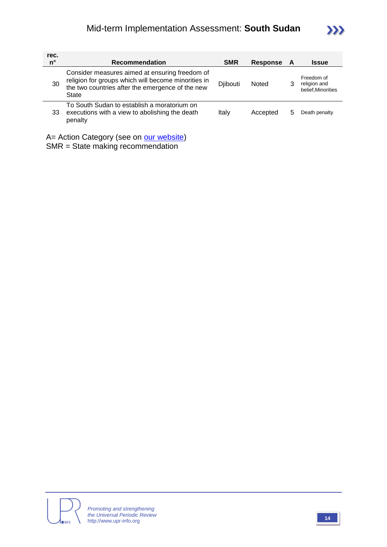

| rec.<br>n°                               | <b>Recommendation</b>                                                                                                                                              | <b>SMR</b> | <b>Response</b> | A | <b>Issue</b>                                     |
|------------------------------------------|--------------------------------------------------------------------------------------------------------------------------------------------------------------------|------------|-----------------|---|--------------------------------------------------|
| 30                                       | Consider measures aimed at ensuring freedom of<br>religion for groups which will become minorities in<br>the two countries after the emergence of the new<br>State | Djibouti   | Noted           | 3 | Freedom of<br>religion and<br>belief, Minorities |
| 33                                       | To South Sudan to establish a moratorium on<br>executions with a view to abolishing the death<br>penalty                                                           | Italy      | Accepted        | 5 | Death penalty                                    |
| A = Action Category (see on our website) |                                                                                                                                                                    |            |                 |   |                                                  |

SMR = State making recommendation